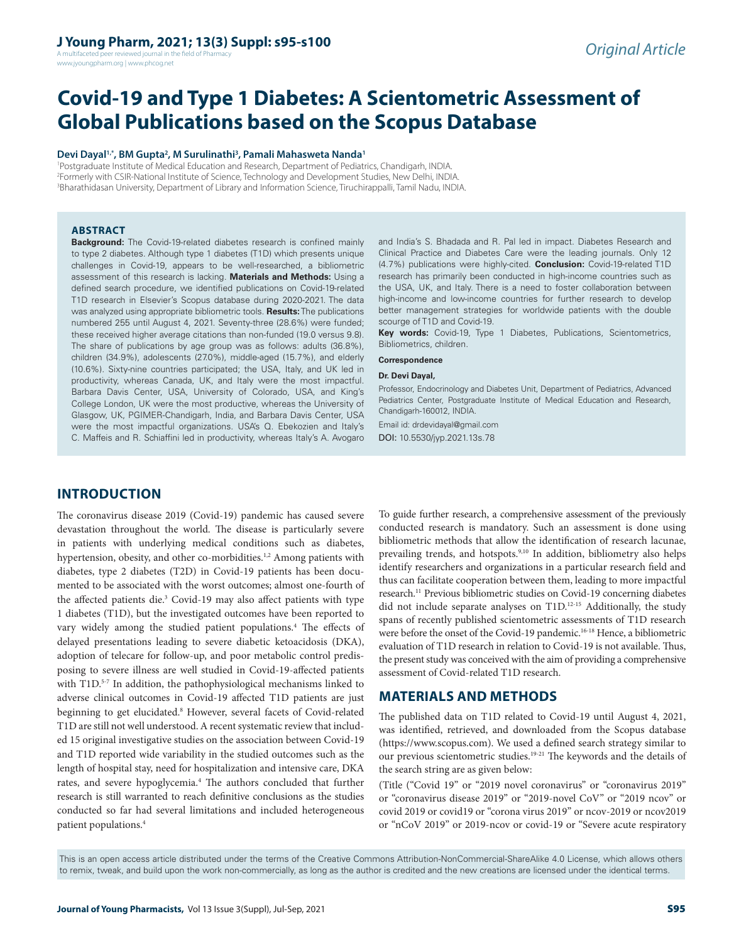# **J Young Pharm, 2021; 13(3) Suppl: s95-s100**

A multifaceted peer reviewed journal in the field of Pharmacy www.jyoungpharm.org | www.phcog.net

# **Covid-19 and Type 1 Diabetes: A Scientometric Assessment of Global Publications based on the Scopus Database**

#### **Devi Dayal1,\*, BM Gupta2 , M Surulinathi3 , Pamali Mahasweta Nanda1**

1 Postgraduate Institute of Medical Education and Research, Department of Pediatrics, Chandigarh, INDIA. 2 Formerly with CSIR-National Institute of Science, Technology and Development Studies, New Delhi, INDIA. 3 Bharathidasan University, Department of Library and Information Science, Tiruchirappalli, Tamil Nadu, INDIA.

#### **ABSTRACT**

**Background:** The Covid-19-related diabetes research is confined mainly to type 2 diabetes. Although type 1 diabetes (T1D) which presents unique challenges in Covid-19, appears to be well-researched, a bibliometric assessment of this research is lacking. **Materials and Methods:** Using a defined search procedure, we identified publications on Covid-19-related T1D research in Elsevier's Scopus database during 2020-2021. The data was analyzed using appropriate bibliometric tools. **Results:** The publications numbered 255 until August 4, 2021. Seventy-three (28.6%) were funded; these received higher average citations than non-funded (19.0 versus 9.8). The share of publications by age group was as follows: adults (36.8%), children (34.9%), adolescents (27.0%), middle-aged (15.7%), and elderly (10.6%). Sixty-nine countries participated; the USA, Italy, and UK led in productivity, whereas Canada, UK, and Italy were the most impactful. Barbara Davis Center, USA, University of Colorado, USA, and King's College London, UK were the most productive, whereas the University of Glasgow, UK, PGIMER-Chandigarh, India, and Barbara Davis Center, USA were the most impactful organizations. USA's Q. Ebekozien and Italy's C. Maffeis and R. Schiaffini led in productivity, whereas Italy's A. Avogaro

and India's S. Bhadada and R. Pal led in impact. Diabetes Research and Clinical Practice and Diabetes Care were the leading journals. Only 12 (4.7%) publications were highly-cited. **Conclusion:** Covid-19-related T1D research has primarily been conducted in high-income countries such as the USA, UK, and Italy. There is a need to foster collaboration between high-income and low-income countries for further research to develop better management strategies for worldwide patients with the double scourge of T1D and Covid-19.

**Key words:** Covid-19, Type 1 Diabetes, Publications, Scientometrics, Bibliometrics, children.

#### **Correspondence**

#### **Dr. Devi Dayal,**

Professor, Endocrinology and Diabetes Unit, Department of Pediatrics, Advanced Pediatrics Center, Postgraduate Institute of Medical Education and Research, Chandigarh-160012, INDIA.

Email id: drdevidayal@gmail.com DOI: 10.5530/jyp.2021.13s.78

# **INTRODUCTION**

The coronavirus disease 2019 (Covid-19) pandemic has caused severe devastation throughout the world. The disease is particularly severe in patients with underlying medical conditions such as diabetes, hypertension, obesity, and other co-morbidities.<sup>1,2</sup> Among patients with diabetes, type 2 diabetes (T2D) in Covid-19 patients has been documented to be associated with the worst outcomes; almost one-fourth of the affected patients die.<sup>3</sup> Covid-19 may also affect patients with type 1 diabetes (T1D), but the investigated outcomes have been reported to vary widely among the studied patient populations.<sup>4</sup> The effects of delayed presentations leading to severe diabetic ketoacidosis (DKA), adoption of telecare for follow-up, and poor metabolic control predisposing to severe illness are well studied in Covid-19-affected patients with T1D.<sup>5-7</sup> In addition, the pathophysiological mechanisms linked to adverse clinical outcomes in Covid-19 affected T1D patients are just beginning to get elucidated.<sup>8</sup> However, several facets of Covid-related T1D are still not well understood. A recent systematic review that included 15 original investigative studies on the association between Covid-19 and T1D reported wide variability in the studied outcomes such as the length of hospital stay, need for hospitalization and intensive care, DKA rates, and severe hypoglycemia.<sup>4</sup> The authors concluded that further research is still warranted to reach definitive conclusions as the studies conducted so far had several limitations and included heterogeneous patient populations.4

To guide further research, a comprehensive assessment of the previously conducted research is mandatory. Such an assessment is done using bibliometric methods that allow the identification of research lacunae, prevailing trends, and hotspots.<sup>9,10</sup> In addition, bibliometry also helps identify researchers and organizations in a particular research field and thus can facilitate cooperation between them, leading to more impactful research.11 Previous bibliometric studies on Covid-19 concerning diabetes did not include separate analyses on T1D.12-15 Additionally, the study spans of recently published scientometric assessments of T1D research were before the onset of the Covid-19 pandemic.<sup>16-18</sup> Hence, a bibliometric evaluation of T1D research in relation to Covid-19 is not available. Thus, the present study was conceived with the aim of providing a comprehensive assessment of Covid-related T1D research.

# **MATERIALS AND METHODS**

The published data on T1D related to Covid-19 until August 4, 2021, was identified, retrieved, and downloaded from the Scopus database (https://www.scopus.com). We used a defined search strategy similar to our previous scientometric studies.19-21 The keywords and the details of the search string are as given below:

(Title ("Covid 19" or "2019 novel coronavirus" or "coronavirus 2019" or "coronavirus disease 2019" or "2019-novel CoV" or "2019 ncov" or covid 2019 or covid19 or "corona virus 2019" or ncov-2019 or ncov2019 or "nCoV 2019" or 2019-ncov or covid-19 or "Severe acute respiratory

This is an open access article distributed under the terms of the Creative Commons Attribution-NonCommercial-ShareAlike 4.0 License, which allows others to remix, tweak, and build upon the work non-commercially, as long as the author is credited and the new creations are licensed under the identical terms.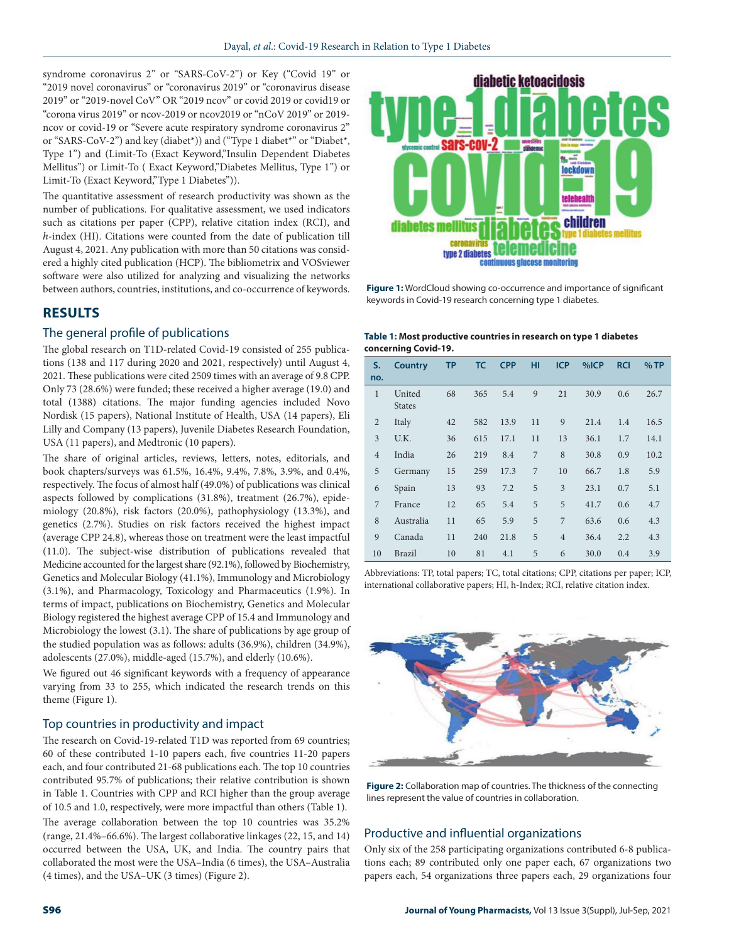syndrome coronavirus 2" or "SARS-CoV-2") or Key ("Covid 19" or "2019 novel coronavirus" or "coronavirus 2019" or "coronavirus disease 2019" or "2019-novel CoV" OR "2019 ncov" or covid 2019 or covid19 or "corona virus 2019" or ncov-2019 or ncov2019 or "nCoV 2019" or 2019 ncov or covid-19 or "Severe acute respiratory syndrome coronavirus 2" or "SARS-CoV-2") and key (diabet\*)) and ("Type 1 diabet\*" or "Diabet\*, Type 1") and (Limit-To (Exact Keyword,"Insulin Dependent Diabetes Mellitus") or Limit-To ( Exact Keyword,"Diabetes Mellitus, Type 1") or Limit-To (Exact Keyword,"Type 1 Diabetes")).

The quantitative assessment of research productivity was shown as the number of publications. For qualitative assessment, we used indicators such as citations per paper (CPP), relative citation index (RCI), and *h*-index (HI). Citations were counted from the date of publication till August 4, 2021. Any publication with more than 50 citations was considered a highly cited publication (HCP). The bibliometrix and VOSviewer software were also utilized for analyzing and visualizing the networks between authors, countries, institutions, and co-occurrence of keywords.

# **RESULTS**

#### The general profile of publications

The global research on T1D-related Covid-19 consisted of 255 publications (138 and 117 during 2020 and 2021, respectively) until August 4, 2021. These publications were cited 2509 times with an average of 9.8 CPP. Only 73 (28.6%) were funded; these received a higher average (19.0) and total (1388) citations. The major funding agencies included Novo Nordisk (15 papers), National Institute of Health, USA (14 papers), Eli Lilly and Company (13 papers), Juvenile Diabetes Research Foundation, USA (11 papers), and Medtronic (10 papers).

The share of original articles, reviews, letters, notes, editorials, and book chapters/surveys was 61.5%, 16.4%, 9.4%, 7.8%, 3.9%, and 0.4%, respectively. The focus of almost half (49.0%) of publications was clinical aspects followed by complications (31.8%), treatment (26.7%), epidemiology (20.8%), risk factors (20.0%), pathophysiology (13.3%), and genetics (2.7%). Studies on risk factors received the highest impact (average CPP 24.8), whereas those on treatment were the least impactful (11.0). The subject-wise distribution of publications revealed that Medicine accounted for the largest share (92.1%), followed by Biochemistry, Genetics and Molecular Biology (41.1%), Immunology and Microbiology (3.1%), and Pharmacology, Toxicology and Pharmaceutics (1.9%). In terms of impact, publications on Biochemistry, Genetics and Molecular Biology registered the highest average CPP of 15.4 and Immunology and Microbiology the lowest (3.1). The share of publications by age group of the studied population was as follows: adults (36.9%), children (34.9%), adolescents (27.0%), middle-aged (15.7%), and elderly (10.6%).

We figured out 46 significant keywords with a frequency of appearance varying from 33 to 255, which indicated the research trends on this theme (Figure 1).

#### Top countries in productivity and impact

The research on Covid-19-related T1D was reported from 69 countries; 60 of these contributed 1-10 papers each, five countries 11-20 papers each, and four contributed 21-68 publications each. The top 10 countries contributed 95.7% of publications; their relative contribution is shown in Table 1. Countries with CPP and RCI higher than the group average of 10.5 and 1.0, respectively, were more impactful than others (Table 1).

The average collaboration between the top 10 countries was 35.2% (range, 21.4%–66.6%). The largest collaborative linkages (22, 15, and 14) occurred between the USA, UK, and India. The country pairs that collaborated the most were the USA–India (6 times), the USA–Australia (4 times), and the USA–UK (3 times) (Figure 2).



**Figure 1:** WordCloud showing co-occurrence and importance of significant keywords in Covid-19 research concerning type 1 diabetes.

#### **Table 1: Most productive countries in research on type 1 diabetes concerning Covid-19.**

| S.<br>no.      | Country                 | <b>TP</b> | <b>TC</b> | <b>CPP</b> | HI | <b>ICP</b>     | %ICP | <b>RCI</b> | %TP  |
|----------------|-------------------------|-----------|-----------|------------|----|----------------|------|------------|------|
| $\mathbf{1}$   | United<br><b>States</b> | 68        | 365       | 5.4        | 9  | 21             | 30.9 | 0.6        | 26.7 |
| $\overline{2}$ | Italy                   | 42        | 582       | 13.9       | 11 | 9              | 21.4 | 1.4        | 16.5 |
| 3              | U.K.                    | 36        | 615       | 17.1       | 11 | 13             | 36.1 | 1.7        | 14.1 |
| $\overline{4}$ | India                   | 26        | 219       | 8.4        | 7  | 8              | 30.8 | 0.9        | 10.2 |
| 5              | Germany                 | 15        | 259       | 17.3       | 7  | 10             | 66.7 | 1.8        | 5.9  |
| 6              | Spain                   | 13        | 93        | 7.2        | 5  | 3              | 23.1 | 0.7        | 5.1  |
| 7              | France                  | 12        | 65        | 5.4        | 5  | 5              | 41.7 | 0.6        | 4.7  |
| 8              | Australia               | 11        | 65        | 5.9        | 5  | 7              | 63.6 | 0.6        | 4.3  |
| 9              | Canada                  | 11        | 240       | 21.8       | 5  | $\overline{4}$ | 36.4 | 2.2        | 4.3  |
| 10             | Brazil                  | 10        | 81        | 4.1        | 5  | 6              | 30.0 | 0.4        | 3.9  |

Abbreviations: TP, total papers; TC, total citations; CPP, citations per paper; ICP, international collaborative papers; HI, h-Index; RCI, relative citation index.



**Figure 2:** Collaboration map of countries. The thickness of the connecting lines represent the value of countries in collaboration.

## Productive and influential organizations

Only six of the 258 participating organizations contributed 6-8 publications each; 89 contributed only one paper each, 67 organizations two papers each, 54 organizations three papers each, 29 organizations four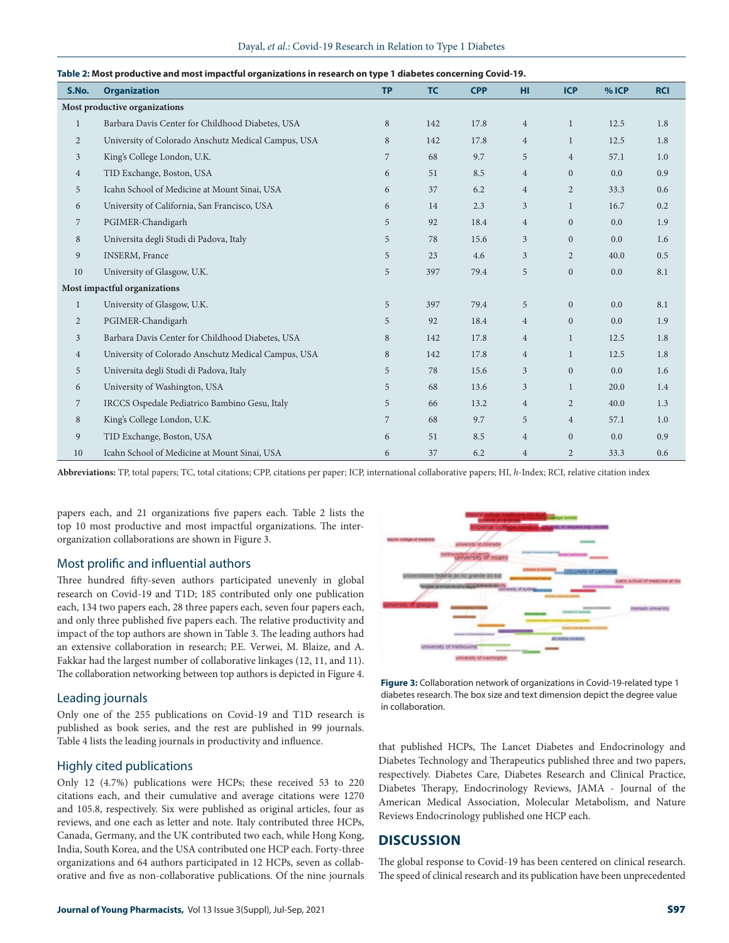| S.No.          | <b>Organization</b>                                 | <b>TP</b> | <b>TC</b> | <b>CPP</b> | <b>HI</b>      | <b>ICP</b>     | % ICP | <b>RCI</b> |  |
|----------------|-----------------------------------------------------|-----------|-----------|------------|----------------|----------------|-------|------------|--|
|                | Most productive organizations                       |           |           |            |                |                |       |            |  |
| $\mathbf{1}$   | Barbara Davis Center for Childhood Diabetes, USA    | 8         | 142       | 17.8       | $\overline{4}$ | $\mathbf{1}$   | 12.5  | 1.8        |  |
| $\overline{2}$ | University of Colorado Anschutz Medical Campus, USA | 8         | 142       | 17.8       | $\overline{4}$ | $\mathbf{1}$   | 12.5  | 1.8        |  |
| 3              | King's College London, U.K.                         | 7         | 68        | 9.7        | 5              | $\overline{4}$ | 57.1  | 1.0        |  |
| $\overline{4}$ | TID Exchange, Boston, USA                           | 6         | 51        | 8.5        | $\overline{4}$ | $\overline{0}$ | 0.0   | 0.9        |  |
| 5              | Icahn School of Medicine at Mount Sinai, USA        | 6         | 37        | 6.2        | $\overline{4}$ | $\overline{2}$ | 33.3  | 0.6        |  |
| 6              | University of California, San Francisco, USA        | 6         | 14        | 2.3        | 3              | $\mathbf{1}$   | 16.7  | 0.2        |  |
| $\overline{7}$ | PGIMER-Chandigarh                                   | 5         | 92        | 18.4       | $\overline{4}$ | $\mathbf{0}$   | 0.0   | 1.9        |  |
| 8              | Universita degli Studi di Padova, Italy             | 5         | 78        | 15.6       | 3              | $\mathbf{0}$   | 0.0   | 1.6        |  |
| 9              | <b>INSERM, France</b>                               | 5         | 23        | 4.6        | 3              | $\overline{2}$ | 40.0  | 0.5        |  |
| 10             | University of Glasgow, U.K.                         | 5         | 397       | 79.4       | 5              | $\mathbf{0}$   | 0.0   | 8.1        |  |
|                | Most impactful organizations                        |           |           |            |                |                |       |            |  |
| $\mathbf{1}$   | University of Glasgow, U.K.                         | 5         | 397       | 79.4       | 5              | $\mathbf{0}$   | 0.0   | 8.1        |  |
| $\overline{2}$ | PGIMER-Chandigarh                                   | 5         | 92        | 18.4       | $\overline{4}$ | $\mathbf{0}$   | 0.0   | 1.9        |  |
| $\overline{3}$ | Barbara Davis Center for Childhood Diabetes, USA    | 8         | 142       | 17.8       | $\overline{4}$ | $\mathbf{1}$   | 12.5  | 1.8        |  |
| $\overline{4}$ | University of Colorado Anschutz Medical Campus, USA | 8         | 142       | 17.8       | $\overline{4}$ | $\mathbf{1}$   | 12.5  | 1.8        |  |
| 5              | Universita degli Studi di Padova, Italy             | 5         | 78        | 15.6       | 3              | $\mathbf{0}$   | 0.0   | 1.6        |  |
| 6              | University of Washington, USA                       | 5         | 68        | 13.6       | $\overline{3}$ | $\mathbf{1}$   | 20.0  | 1.4        |  |
| $\overline{7}$ | IRCCS Ospedale Pediatrico Bambino Gesu, Italy       | 5         | 66        | 13.2       | $\overline{4}$ | $\overline{2}$ | 40.0  | 1.3        |  |
| 8              | King's College London, U.K.                         | 7         | 68        | 9.7        | 5              | $\overline{4}$ | 57.1  | 1.0        |  |
| 9              | TID Exchange, Boston, USA                           | 6         | 51        | 8.5        | $\overline{4}$ | $\mathbf{0}$   | 0.0   | 0.9        |  |
| 10             | Icahn School of Medicine at Mount Sinai, USA        | 6         | 37        | 6.2        | $\overline{4}$ | $\overline{2}$ | 33.3  | 0.6        |  |

#### Dayal, *et al*.: Covid-19 Research in Relation to Type 1 Diabetes

#### **Table 2: Most productive and most impactful organizations in research on type 1 diabetes concerning Covid-19.**

**Abbreviations:** TP, total papers; TC, total citations; CPP, citations per paper; ICP, international collaborative papers; HI, *h*-Index; RCI, relative citation index

papers each, and 21 organizations five papers each. Table 2 lists the top 10 most productive and most impactful organizations. The interorganization collaborations are shown in Figure 3.

### Most prolific and influential authors

Three hundred fifty-seven authors participated unevenly in global research on Covid-19 and T1D; 185 contributed only one publication each, 134 two papers each, 28 three papers each, seven four papers each, and only three published five papers each. The relative productivity and impact of the top authors are shown in Table 3. The leading authors had an extensive collaboration in research; P.E. Verwei, M. Blaize, and A. Fakkar had the largest number of collaborative linkages (12, 11, and 11). The collaboration networking between top authors is depicted in Figure 4.

#### Leading journals

Only one of the 255 publications on Covid-19 and T1D research is published as book series, and the rest are published in 99 journals. Table 4 lists the leading journals in productivity and influence.

#### Highly cited publications

Only 12 (4.7%) publications were HCPs; these received 53 to 220 citations each, and their cumulative and average citations were 1270 and 105.8, respectively. Six were published as original articles, four as reviews, and one each as letter and note. Italy contributed three HCPs, Canada, Germany, and the UK contributed two each, while Hong Kong, India, South Korea, and the USA contributed one HCP each. Forty-three organizations and 64 authors participated in 12 HCPs, seven as collaborative and five as non-collaborative publications. Of the nine journals



**Figure 3:** Collaboration network of organizations in Covid-19-related type 1 diabetes research. The box size and text dimension depict the degree value in collaboration.

that published HCPs, The Lancet Diabetes and Endocrinology and Diabetes Technology and Therapeutics published three and two papers, respectively. Diabetes Care, Diabetes Research and Clinical Practice, Diabetes Therapy, Endocrinology Reviews, JAMA - Journal of the American Medical Association, Molecular Metabolism, and Nature Reviews Endocrinology published one HCP each.

# **DISCUSSION**

The global response to Covid-19 has been centered on clinical research. The speed of clinical research and its publication have been unprecedented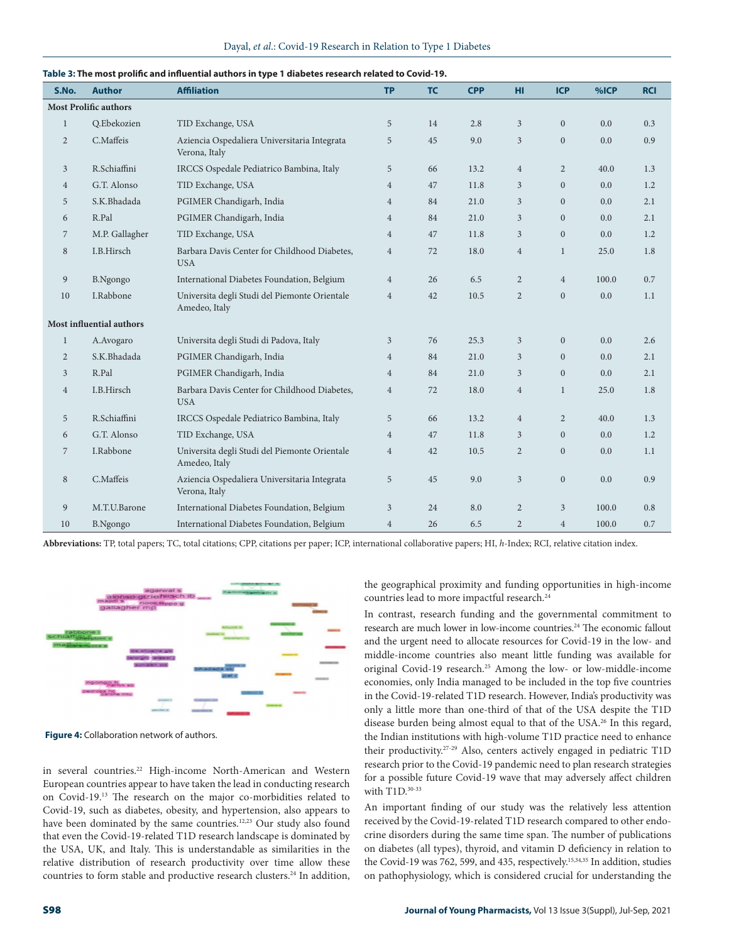| S.No.          | <b>Author</b>                                                              | able 5. The most promit and immential adtions in type T diabetes research related to Covid-13.<br><b>Affiliation</b> | <b>TP</b>      | <b>TC</b> | <b>CPP</b> | HI.            | <b>ICP</b>     | %ICP  | <b>RCI</b> |
|----------------|----------------------------------------------------------------------------|----------------------------------------------------------------------------------------------------------------------|----------------|-----------|------------|----------------|----------------|-------|------------|
|                | <b>Most Prolific authors</b>                                               |                                                                                                                      |                |           |            |                |                |       |            |
| $\mathbf{1}$   | O.Ebekozien                                                                | TID Exchange, USA                                                                                                    | 5              | 14        | 2.8        | 3              | $\overline{0}$ | 0.0   | 0.3        |
| $\overline{2}$ | C.Maffeis<br>Aziencia Ospedaliera Universitaria Integrata<br>Verona, Italy |                                                                                                                      | 5              | 45        | 9.0        | $\overline{3}$ | $\mathbf{0}$   | 0.0   | 0.9        |
| $\mathfrak{Z}$ | R.Schiaffini                                                               | IRCCS Ospedale Pediatrico Bambina, Italy                                                                             | 5              | 66        | 13.2       | $\overline{4}$ | $\overline{2}$ | 40.0  | 1.3        |
| $\overline{4}$ | G.T. Alonso                                                                | TID Exchange, USA                                                                                                    | $\overline{4}$ | 47        | 11.8       | $\overline{3}$ | $\mathbf{0}$   | 0.0   | 1.2        |
| 5              | S.K.Bhadada                                                                | PGIMER Chandigarh, India                                                                                             | $\overline{4}$ | 84        | 21.0       | 3              | $\overline{0}$ | 0.0   | 2.1        |
| 6              | R.Pal                                                                      | PGIMER Chandigarh, India                                                                                             | $\overline{4}$ | 84        | 21.0       | $\mathfrak{Z}$ | $\overline{0}$ | 0.0   | 2.1        |
| $\overline{7}$ | M.P. Gallagher                                                             | TID Exchange, USA                                                                                                    | $\overline{4}$ | 47        | 11.8       | $\overline{3}$ | $\overline{0}$ | 0.0   | 1.2        |
| 8              | I.B.Hirsch                                                                 | Barbara Davis Center for Childhood Diabetes,<br><b>USA</b>                                                           | $\overline{4}$ | 72        | 18.0       | $\overline{4}$ | $\mathbf{1}$   | 25.0  | 1.8        |
| 9              | B.Ngongo                                                                   | International Diabetes Foundation, Belgium                                                                           | $\overline{4}$ | 26        | 6.5        | $\overline{2}$ | $\overline{4}$ | 100.0 | 0.7        |
| 10             | I.Rabbone                                                                  | Universita degli Studi del Piemonte Orientale<br>Amedeo, Italy                                                       | $\overline{4}$ | 42        | 10.5       | $\overline{2}$ | $\overline{0}$ | 0.0   | 1.1        |
|                | Most influential authors                                                   |                                                                                                                      |                |           |            |                |                |       |            |
| $\mathbf{1}$   | A.Avogaro                                                                  | Universita degli Studi di Padova, Italy                                                                              | 3              | 76        | 25.3       | $\overline{3}$ | $\overline{0}$ | 0.0   | 2.6        |
| $\overline{2}$ | S.K.Bhadada                                                                | PGIMER Chandigarh, India                                                                                             | $\overline{4}$ | 84        | 21.0       | $\mathfrak{Z}$ | $\mathbf{0}$   | 0.0   | 2.1        |
| 3              | R.Pal                                                                      | PGIMER Chandigarh, India                                                                                             | $\overline{4}$ | 84        | 21.0       | $\overline{3}$ | $\mathbf{0}$   | 0.0   | 2.1        |
| $\overline{4}$ | Barbara Davis Center for Childhood Diabetes,<br>I.B.Hirsch<br><b>USA</b>   |                                                                                                                      | $\overline{4}$ | 72        | 18.0       | $\overline{4}$ | $\mathbf{1}$   | 25.0  | 1.8        |
| 5              | R.Schiaffini                                                               | IRCCS Ospedale Pediatrico Bambina, Italy                                                                             | 5              | 66        | 13.2       | $\overline{4}$ | $\overline{2}$ | 40.0  | 1.3        |
| 6              | G.T. Alonso                                                                | TID Exchange, USA                                                                                                    | $\overline{4}$ | 47        | 11.8       | $\mathfrak{Z}$ | $\overline{0}$ | 0.0   | 1.2        |
| 7              | I.Rabbone                                                                  | Universita degli Studi del Piemonte Orientale<br>Amedeo, Italy                                                       | $\overline{4}$ | 42        | 10.5       | $\overline{2}$ | $\mathbf{0}$   | 0.0   | 1.1        |
| 8              | C.Maffeis                                                                  | Aziencia Ospedaliera Universitaria Integrata<br>Verona, Italy                                                        | 5              | 45        | 9.0        | 3              | $\overline{0}$ | 0.0   | 0.9        |
| 9              | M.T.U.Barone                                                               | International Diabetes Foundation, Belgium                                                                           | 3              | 24        | 8.0        | 2              | $\overline{3}$ | 100.0 | 0.8        |

Dayal, *et al*.: Covid-19 Research in Relation to Type 1 Diabetes

#### **Table 3: The most prolific and influential authors in type 1 diabetes research related to Covid-19.**

**Abbreviations:** TP, total papers; TC, total citations; CPP, citations per paper; ICP, international collaborative papers; HI, *h*-Index; RCI, relative citation index.

10 B.Ngongo International Diabetes Foundation, Belgium 4 26 6.5 2 4 100.0 0.7



**Figure 4:** Collaboration network of authors.

in several countries.<sup>22</sup> High-income North-American and Western European countries appear to have taken the lead in conducting research on Covid-19.13 The research on the major co-morbidities related to Covid-19, such as diabetes, obesity, and hypertension, also appears to have been dominated by the same countries.<sup>12,23</sup> Our study also found that even the Covid-19-related T1D research landscape is dominated by the USA, UK, and Italy. This is understandable as similarities in the relative distribution of research productivity over time allow these countries to form stable and productive research clusters.<sup>24</sup> In addition, the geographical proximity and funding opportunities in high-income countries lead to more impactful research.<sup>24</sup>

In contrast, research funding and the governmental commitment to research are much lower in low-income countries.<sup>24</sup> The economic fallout and the urgent need to allocate resources for Covid-19 in the low- and middle-income countries also meant little funding was available for original Covid-19 research.25 Among the low- or low-middle-income economies, only India managed to be included in the top five countries in the Covid-19-related T1D research. However, India's productivity was only a little more than one-third of that of the USA despite the T1D disease burden being almost equal to that of the USA.<sup>26</sup> In this regard, the Indian institutions with high-volume T1D practice need to enhance their productivity.27-29 Also, centers actively engaged in pediatric T1D research prior to the Covid-19 pandemic need to plan research strategies for a possible future Covid-19 wave that may adversely affect children with T1D.<sup>30-33</sup>

An important finding of our study was the relatively less attention received by the Covid-19-related T1D research compared to other endocrine disorders during the same time span. The number of publications on diabetes (all types), thyroid, and vitamin D deficiency in relation to the Covid-19 was 762, 599, and 435, respectively.<sup>15,34,35</sup> In addition, studies on pathophysiology, which is considered crucial for understanding the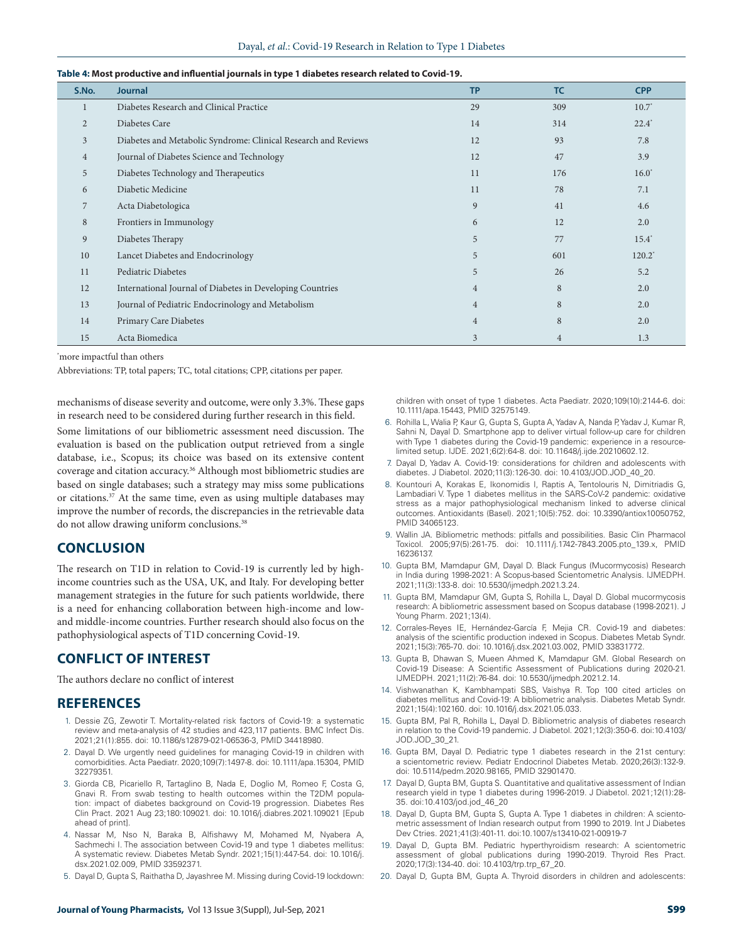|  |  |  | Table 4: Most productive and influential journals in type 1 diabetes research related to Covid-19. |
|--|--|--|----------------------------------------------------------------------------------------------------|
|  |  |  |                                                                                                    |

| S.No.          | <b>Journal</b>                                                 | <b>TP</b>      | <b>TC</b>      | <b>CPP</b> |
|----------------|----------------------------------------------------------------|----------------|----------------|------------|
|                | Diabetes Research and Clinical Practice                        | 29             | 309            | $10.7^*$   |
| $\overline{2}$ | Diabetes Care                                                  | 14             | 314            | $22.4^*$   |
| $\overline{3}$ | Diabetes and Metabolic Syndrome: Clinical Research and Reviews | 12             | 93             | 7.8        |
| 4              | Journal of Diabetes Science and Technology                     | 12             | 47             | 3.9        |
| 5              | Diabetes Technology and Therapeutics                           | 11             | 176            | $16.0^*$   |
| 6              | Diabetic Medicine                                              | 11             | 78             | 7.1        |
| 7              | Acta Diabetologica                                             | 9              | 41             | 4.6        |
| 8              | Frontiers in Immunology                                        | 6              | 12             | 2.0        |
| 9              | Diabetes Therapy                                               | 5              | 77             | $15.4^*$   |
| 10             | Lancet Diabetes and Endocrinology                              | 5              | 601            | $120.2^*$  |
| 11             | Pediatric Diabetes                                             | 5              | 26             | 5.2        |
| 12             | International Journal of Diabetes in Developing Countries      | $\overline{4}$ | 8              | 2.0        |
| 13             | Journal of Pediatric Endocrinology and Metabolism              | $\overline{4}$ | 8              | 2.0        |
| 14             | Primary Care Diabetes                                          | $\overline{4}$ | 8              | 2.0        |
| 15             | Acta Biomedica                                                 | 3              | $\overline{4}$ | 1.3        |

\* more impactful than others

Abbreviations: TP, total papers; TC, total citations; CPP, citations per paper.

mechanisms of disease severity and outcome, were only 3.3%. These gaps in research need to be considered during further research in this field.

Some limitations of our bibliometric assessment need discussion. The evaluation is based on the publication output retrieved from a single database, i.e., Scopus; its choice was based on its extensive content coverage and citation accuracy.36 Although most bibliometric studies are based on single databases; such a strategy may miss some publications or citations.<sup>37</sup> At the same time, even as using multiple databases may improve the number of records, the discrepancies in the retrievable data do not allow drawing uniform conclusions.<sup>38</sup>

# **CONCLUSION**

The research on T1D in relation to Covid-19 is currently led by highincome countries such as the USA, UK, and Italy. For developing better management strategies in the future for such patients worldwide, there is a need for enhancing collaboration between high-income and lowand middle-income countries. Further research should also focus on the pathophysiological aspects of T1D concerning Covid-19.

# **CONFLICT OF INTEREST**

The authors declare no conflict of interest

#### **REFERENCES**

- 1. Dessie ZG, Zewotir T. Mortality-related risk factors of Covid-19: a systematic review and meta-analysis of 42 studies and 423,117 patients. BMC Infect Dis. 2021;21(1):855. doi: 10.1186/s12879-021-06536-3, PMID 34418980.
- 2. Dayal D. We urgently need guidelines for managing Covid-19 in children with comorbidities. Acta Paediatr. 2020;109(7):1497-8. doi: 10.1111/apa.15304, PMID 32279351.
- 3. Giorda CB, Picariello R, Tartaglino B, Nada E, Doglio M, Romeo F, Costa G, Gnavi R. From swab testing to health outcomes within the T2DM population: impact of diabetes background on Covid-19 progression. Diabetes Res Clin Pract. 2021 Aug 23;180:109021. doi: 10.1016/j.diabres.2021.109021 [Epub ahead of print].
- 4. Nassar M, Nso N, Baraka B, Alfishawy M, Mohamed M, Nyabera A, Sachmechi I. The association between Covid-19 and type 1 diabetes mellitus: A systematic review. Diabetes Metab Syndr. 2021;15(1):447-54. doi: 10.1016/j. dsx.2021.02.009, PMID 33592371.
- 5. Dayal D, Gupta S, Raithatha D, Jayashree M. Missing during Covid-19 lockdown:

children with onset of type 1 diabetes. Acta Paediatr. 2020;109(10):2144-6. doi: 10.1111/apa.15443, PMID 32575149.

- 6. Rohilla L, Walia P, Kaur G, Gupta S, Gupta A, Yadav A, Nanda P, Yadav J, Kumar R, Sahni N, Dayal D. Smartphone app to deliver virtual follow-up care for children with Type 1 diabetes during the Covid-19 pandemic: experience in a resourcelimited setup. IJDE. 2021;6(2):64-8. doi: 10.11648/j.ijde.20210602.12.
- 7. Dayal D, Yadav A. Covid-19: considerations for children and adolescents with diabetes. J Diabetol. 2020;11(3):126-30. doi: 10.4103/JOD.JOD\_40\_20.
- 8. Kountouri A, Korakas E, Ikonomidis I, Raptis A, Tentolouris N, Dimitriadis G, Lambadiari V. Type 1 diabetes mellitus in the SARS-CoV-2 pandemic: oxidative stress as a major pathophysiological mechanism linked to adverse clinical outcomes. Antioxidants (Basel). 2021;10(5):752. doi: 10.3390/antiox10050752, PMID 34065123.
- 9. Wallin JA. Bibliometric methods: pitfalls and possibilities. Basic Clin Pharmacol Toxicol. 2005;97(5):261-75. doi: 10.1111/j.1742-7843.2005.pto\_139.x, PMID 16236137.
- 10. Gupta BM, Mamdapur GM, Dayal D. Black Fungus (Mucormycosis) Research in India during 1998-2021: A Scopus-based Scientometric Analysis. IJMEDPH. 2021;11(3):133-8. doi: 10.5530/ijmedph.2021.3.24.
- 11. Gupta BM, Mamdapur GM, Gupta S, Rohilla L, Dayal D. Global mucormycosis research: A bibliometric assessment based on Scopus database (1998-2021). J Young Pharm. 2021;13(4).
- 12. Corrales-Reyes IE, Hernández-García F, Mejia CR. Covid-19 and diabetes: analysis of the scientific production indexed in Scopus. Diabetes Metab Syndr. 2021;15(3):765-70. doi: 10.1016/j.dsx.2021.03.002, PMID 33831772.
- 13. Gupta B, Dhawan S, Mueen Ahmed K, Mamdapur GM. Global Research on Covid-19 Disease: A Scientific Assessment of Publications during 2020-21. IJMEDPH. 2021;11(2):76-84. doi: 10.5530/ijmedph.2021.2.14.
- 14. Vishwanathan K, Kambhampati SBS, Vaishya R. Top 100 cited articles on diabetes mellitus and Covid-19: A bibliometric analysis. Diabetes Metab Syndr. 2021;15(4):102160. doi: 10.1016/j.dsx.2021.05.033.
- 15. Gupta BM, Pal R, Rohilla L, Dayal D. Bibliometric analysis of diabetes research in relation to the Covid-19 pandemic. J Diabetol. 2021;12(3):350-6. doi:10.4103/ JOD.JOD\_30\_21.
- 16. Gupta BM, Dayal D. Pediatric type 1 diabetes research in the 21st century: a scientometric review. Pediatr Endocrinol Diabetes Metab. 2020;26(3):132-9. doi: 10.5114/pedm.2020.98165, PMID 32901470.
- 17. Dayal D, Gupta BM, Gupta S. Quantitative and qualitative assessment of Indian research yield in type 1 diabetes during 1996-2019. J Diabetol. 2021;12(1):28- 35. doi:10.4103/jod.jod\_46\_20
- 18. Dayal D, Gupta BM, Gupta S, Gupta A. Type 1 diabetes in children: A scientometric assessment of Indian research output from 1990 to 2019. Int J Diabetes Dev Ctries. 2021;41(3):401-11. doi:10.1007/s13410-021-00919-7
- 19. Dayal D, Gupta BM. Pediatric hyperthyroidism research: A scientometric assessment of global publications during 1990-2019. Thyroid Res Pract. 2020;17(3):134-40. doi: 10.4103/trp.trp\_67\_20.
- 20. Dayal D, Gupta BM, Gupta A. Thyroid disorders in children and adolescents: